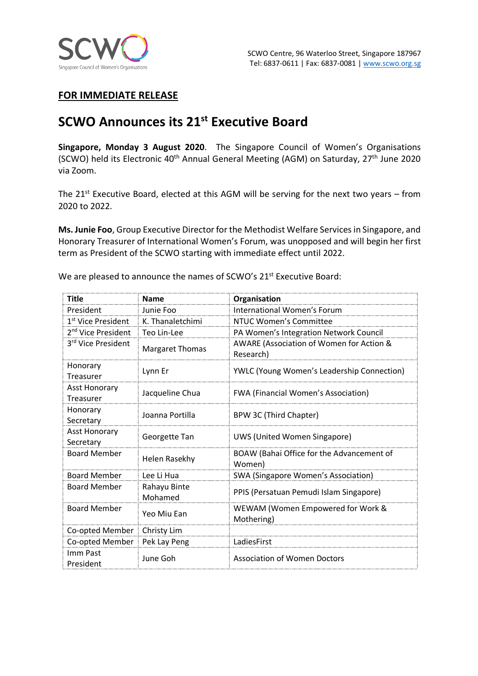

## **FOR IMMEDIATE RELEASE**

# **SCWO Announces its 21st Executive Board**

**Singapore, Monday 3 August 2020**. The Singapore Council of Women's Organisations (SCWO) held its Electronic 40<sup>th</sup> Annual General Meeting (AGM) on Saturday,  $27<sup>th</sup>$  June 2020 via Zoom.

The  $21^{st}$  Executive Board, elected at this AGM will be serving for the next two years – from 2020 to 2022.

**Ms. Junie Foo**, Group Executive Director for the Methodist Welfare Services in Singapore, and Honorary Treasurer of International Women's Forum, was unopposed and will begin her first term as President of the SCWO starting with immediate effect until 2022.

| Title                             | <b>Name</b>             | Organisation                                          |
|-----------------------------------|-------------------------|-------------------------------------------------------|
| President                         | Junie Foo               | International Women's Forum                           |
| 1 <sup>st</sup> Vice President    | K. Thanaletchimi        | NTUC Women's Committee                                |
| 2 <sup>nd</sup> Vice President    | Teo Lin-Lee             | PA Women's Integration Network Council                |
| 3rd Vice President                | <b>Margaret Thomas</b>  | AWARE (Association of Women for Action &<br>Research) |
| Honorary<br>Treasurer             | Lynn Er                 | <b>YWLC (Young Women's Leadership Connection)</b>     |
| <b>Asst Honorary</b><br>Treasurer | Jacqueline Chua         | <b>FWA</b> (Financial Women's Association)            |
| Honorary<br>Secretary             | Joanna Portilla         | BPW 3C (Third Chapter)                                |
| <b>Asst Honorary</b><br>Secretary | Georgette Tan           | <b>UWS (United Women Singapore)</b>                   |
| <b>Board Member</b>               | <b>Helen Rasekhy</b>    | BOAW (Bahai Office for the Advancement of<br>Women)   |
| <b>Board Member</b>               | Lee Li Hua              | <b>SWA (Singapore Women's Association)</b>            |
| <b>Board Member</b>               | Rahayu Binte<br>Mohamed | PPIS (Persatuan Pemudi Islam Singapore)               |
| <b>Board Member</b>               | Yeo Miu Ean             | WEWAM (Women Empowered for Work &<br>Mothering)       |
| Co-opted Member                   | Christy Lim             |                                                       |
| Co-opted Member                   | Pek Lay Peng            | LadiesFirst                                           |
| Imm Past<br>President             | June Goh                | <b>Association of Women Doctors</b>                   |

We are pleased to announce the names of SCWO's 21<sup>st</sup> Executive Board: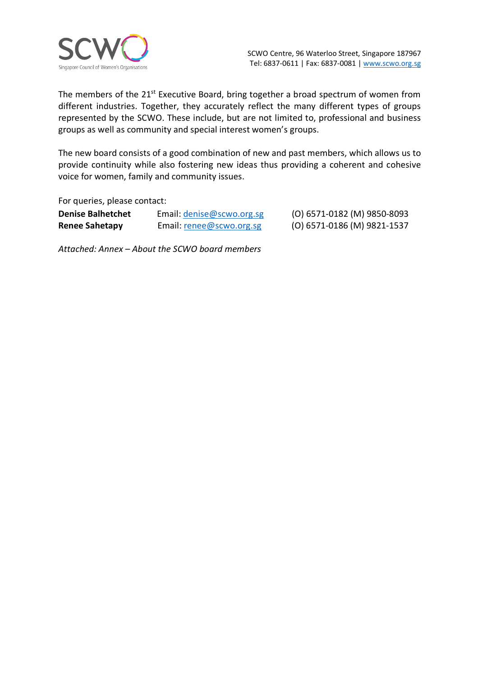

The members of the 21<sup>st</sup> Executive Board, bring together a broad spectrum of women from different industries. Together, they accurately reflect the many different types of groups represented by the SCWO. These include, but are not limited to, professional and business groups as well as community and special interest women's groups.

The new board consists of a good combination of new and past members, which allows us to provide continuity while also fostering new ideas thus providing a coherent and cohesive voice for women, family and community issues.

For queries, please contact:

| <b>Denise Balhetchet</b> | Email: denise@scwo.org.sg |
|--------------------------|---------------------------|
| <b>Renee Sahetapy</b>    | Email: renee@scwo.org.sg  |

**Denise Balhetchet** Email: denise@scwo.org.sg (O) 6571-0182 (M) 9850-8093 **Renee Sahetapy** Email: renee@scwo.org.sg (O) 6571-0186 (M) 9821-1537

*Attached: Annex – About the SCWO board members*